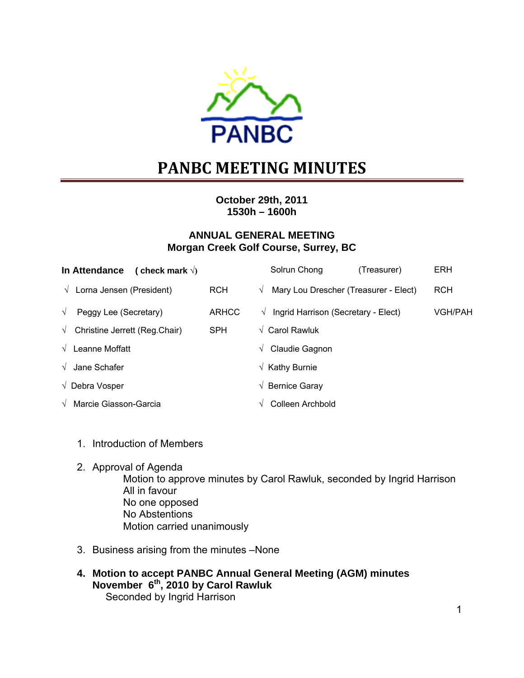

# **PANBC MEETING MINUTES**

**October 29th, 2011 1530h – 1600h** 

# **ANNUAL GENERAL MEETING Morgan Creek Golf Course, Surrey, BC**

| In Attendance (check mark $\sqrt{ }$ )             |              | Solrun Chong<br>(Treasurer)                         | <b>ERH</b>     |
|----------------------------------------------------|--------------|-----------------------------------------------------|----------------|
| $\sqrt{ }$ Lorna Jensen (President)                | <b>RCH</b>   | Mary Lou Drescher (Treasurer - Elect)<br>$\sqrt{ }$ | <b>RCH</b>     |
| Peggy Lee (Secretary)<br>$\sqrt{ }$                | <b>ARHCC</b> | Ingrid Harrison (Secretary - Elect)<br>$\sqrt{ }$   | <b>VGH/PAH</b> |
| $\sqrt{\phantom{a}}$ Christine Jerrett (Reg.Chair) | <b>SPH</b>   | $\sqrt{\phantom{a}}$ Carol Rawluk                   |                |
| $\sqrt{\phantom{a}}$ Leanne Moffatt                |              | Claudie Gagnon<br>V                                 |                |
| $\sqrt{ }$ Jane Schafer                            |              | $\sqrt{\phantom{a}}$ Kathy Burnie                   |                |
| $\sqrt{\phantom{a}}$ Debra Vosper                  |              | $\sqrt{ }$ Bernice Garay                            |                |
| $\sqrt{ }$ Marcie Giasson-Garcia                   |              | Colleen Archbold<br>V                               |                |

- 1. Introduction of Members
- 2. Approval of Agenda

Motion to approve minutes by Carol Rawluk, seconded by Ingrid Harrison All in favour No one opposed No Abstentions Motion carried unanimously

- 3. Business arising from the minutes –None
- **4. Motion to accept PANBC Annual General Meeting (AGM) minutes November 6th, 2010 by Carol Rawluk**  Seconded by Ingrid Harrison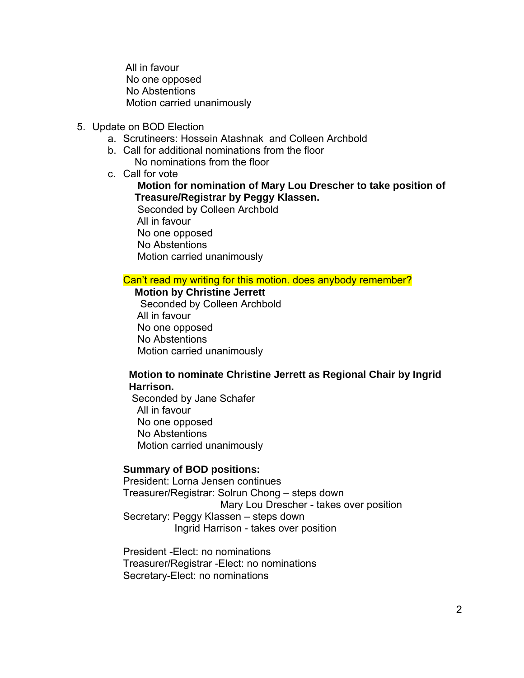All in favour No one opposed No Abstentions Motion carried unanimously

- 5. Update on BOD Election
	- a. Scrutineers: Hossein Atashnak and Colleen Archbold
	- b. Call for additional nominations from the floor No nominations from the floor
	- c. Call for vote

## **Motion for nomination of Mary Lou Drescher to take position of Treasure/Registrar by Peggy Klassen.**

 Seconded by Colleen Archbold All in favour No one opposed No Abstentions Motion carried unanimously

#### Can't read my writing for this motion. does anybody remember?

 **Motion by Christine Jerrett**  Seconded by Colleen Archbold All in favour No one opposed No Abstentions Motion carried unanimously

#### **Motion to nominate Christine Jerrett as Regional Chair by Ingrid Harrison.**

 Seconded by Jane Schafer All in favour No one opposed No Abstentions Motion carried unanimously

#### **Summary of BOD positions:**

President: Lorna Jensen continues Treasurer/Registrar: Solrun Chong – steps down Mary Lou Drescher - takes over position Secretary: Peggy Klassen – steps down Ingrid Harrison - takes over position

President -Elect: no nominations Treasurer/Registrar -Elect: no nominations Secretary-Elect: no nominations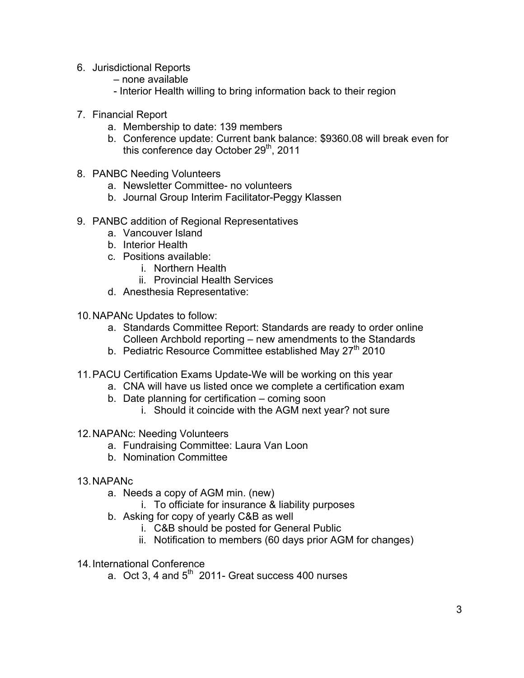- 6. Jurisdictional Reports
	- none available
	- Interior Health willing to bring information back to their region
- 7. Financial Report
	- a. Membership to date: 139 members
	- b. Conference update: Current bank balance: \$9360.08 will break even for this conference day October 29<sup>th</sup>, 2011
- 8. PANBC Needing Volunteers
	- a. Newsletter Committee- no volunteers
	- b. Journal Group Interim Facilitator-Peggy Klassen
- 9. PANBC addition of Regional Representatives
	- a. Vancouver Island
	- b. Interior Health
	- c. Positions available:
		- i. Northern Health
		- ii. Provincial Health Services
	- d. Anesthesia Representative:
- 10. NAPANc Updates to follow:
	- a. Standards Committee Report: Standards are ready to order online Colleen Archbold reporting – new amendments to the Standards
	- b. Pediatric Resource Committee established May 27<sup>th</sup> 2010
- 11. PACU Certification Exams Update-We will be working on this year
	- a. CNA will have us listed once we complete a certification exam
	- b. Date planning for certification coming soon
		- i. Should it coincide with the AGM next year? not sure

# 12. NAPANc: Needing Volunteers

- a. Fundraising Committee: Laura Van Loon
- b. Nomination Committee
- 13. NAPANc
	- a. Needs a copy of AGM min. (new)
		- i. To officiate for insurance & liability purposes
	- b. Asking for copy of yearly C&B as well
		- i. C&B should be posted for General Public
		- ii. Notification to members (60 days prior AGM for changes)
- 14. International Conference
	- a. Oct 3, 4 and  $5<sup>th</sup>$  2011- Great success 400 nurses